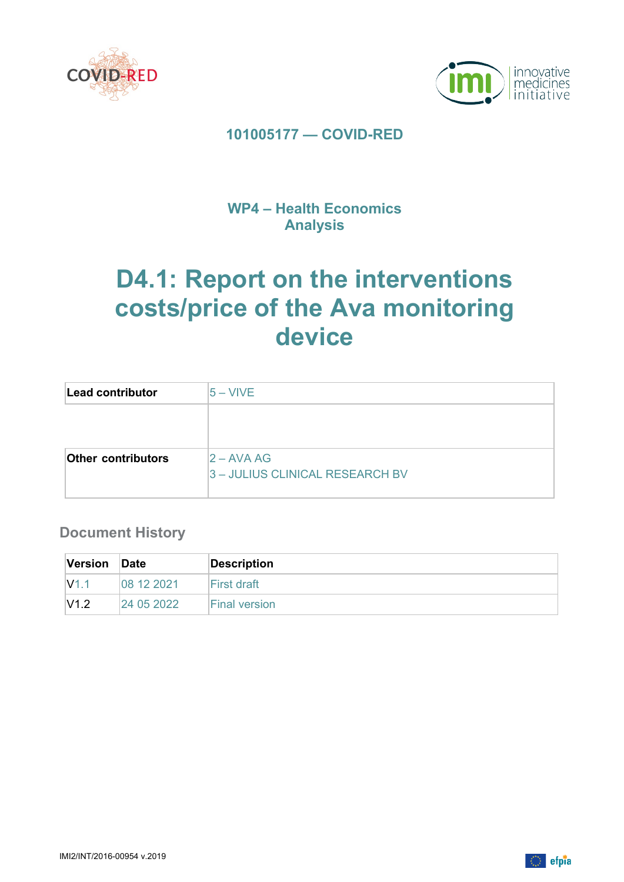



## **101005177 — COVID-RED**

## **WP4 – Health Economics Analysis**

# **D4.1: Report on the interventions costs/price of the Ava monitoring device**

| Lead contributor          | 15 – VIVE                       |
|---------------------------|---------------------------------|
|                           |                                 |
|                           |                                 |
| <b>Other contributors</b> | $2 - AVAAG$                     |
|                           | 3 - JULIUS CLINICAL RESEARCH BV |
|                           |                                 |

### **Document History**

| Version          | Date       | <b>Description</b>   |
|------------------|------------|----------------------|
| V <sub>1.1</sub> | 08 12 2021 | First draft          |
| V1.2             | 24 05 2022 | <b>Final version</b> |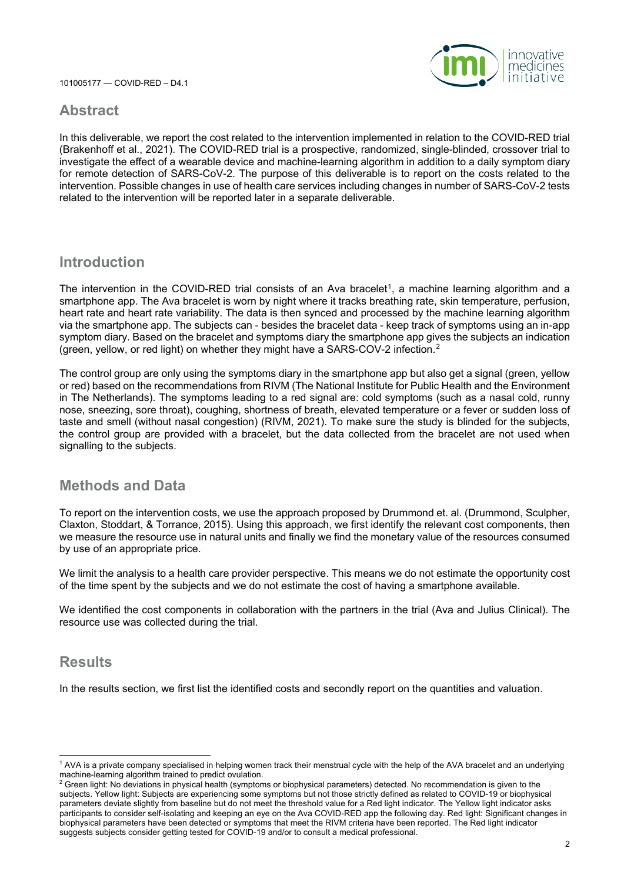

#### **Abstract**

In this deliverable, we report the cost related to the intervention implemented in relation to the COVID-RED trial (Brakenhoff et al., 2021). The COVID-RED trial is a prospective, randomized, single-blinded, crossover trial to investigate the effect of a wearable device and machine-learning algorithm in addition to a daily symptom diary for remote detection of SARS-CoV-2. The purpose of this deliverable is to report on the costs related to the intervention. Possible changes in use of health care services including changes in number of SARS-CoV-2 tests related to the intervention will be reported later in a separate deliverable.

#### **Introduction**

The intervention in the COVID-RED trial consists of an Ava bracelet<sup>1</sup>, a machine learning algorithm and a smartphone app. The Ava bracelet is worn by night where it tracks breathing rate, skin temperature, perfusion, heart rate and heart rate variability. The data is then synced and processed by the machine learning algorithm via the smartphone app. The subjects can - besides the bracelet data - keep track of symptoms using an in-app symptom diary. Based on the bracelet and symptoms diary the smartphone app gives the subjects an indication (green, yellow, or red light) on whether they might have a SARS-COV-2 infection.[2](#page-1-1)

The control group are only using the symptoms diary in the smartphone app but also get a signal (green, yellow or red) based on the recommendations from RIVM (The National Institute for Public Health and the Environment in The Netherlands). The symptoms leading to a red signal are: cold symptoms (such as a nasal cold, runny nose, sneezing, sore throat), coughing, shortness of breath, elevated temperature or a fever or sudden loss of taste and smell (without nasal congestion) (RIVM, 2021). To make sure the study is blinded for the subjects, the control group are provided with a bracelet, but the data collected from the bracelet are not used when signalling to the subjects.

#### **Methods and Data**

To report on the intervention costs, we use the approach proposed by Drummond et. al. (Drummond, Sculpher, Claxton, Stoddart, & Torrance, 2015). Using this approach, we first identify the relevant cost components, then we measure the resource use in natural units and finally we find the monetary value of the resources consumed by use of an appropriate price.

We limit the analysis to a health care provider perspective. This means we do not estimate the opportunity cost of the time spent by the subjects and we do not estimate the cost of having a smartphone available.

We identified the cost components in collaboration with the partners in the trial (Ava and Julius Clinical). The resource use was collected during the trial.

#### **Results**

In the results section, we first list the identified costs and secondly report on the quantities and valuation.

<span id="page-1-0"></span><sup>1</sup> AVA is a private company specialised in helping women track their menstrual cycle with the help of the AVA bracelet and an underlying machine-learning algorithm trained to predict ovulation.

<span id="page-1-1"></span><sup>&</sup>lt;sup>2</sup> Green light: No deviations in physical health (symptoms or biophysical parameters) detected. No recommendation is given to the subjects. Yellow light: Subjects are experiencing some symptoms but not those strictly defined as related to COVID-19 or biophysical parameters deviate slightly from baseline but do not meet the threshold value for a Red light indicator. The Yellow light indicator asks participants to consider self-isolating and keeping an eye on the Ava COVID-RED app the following day. Red light: Significant changes in biophysical parameters have been detected or symptoms that meet the RIVM criteria have been reported. The Red light indicator suggests subjects consider getting tested for COVID-19 and/or to consult a medical professional.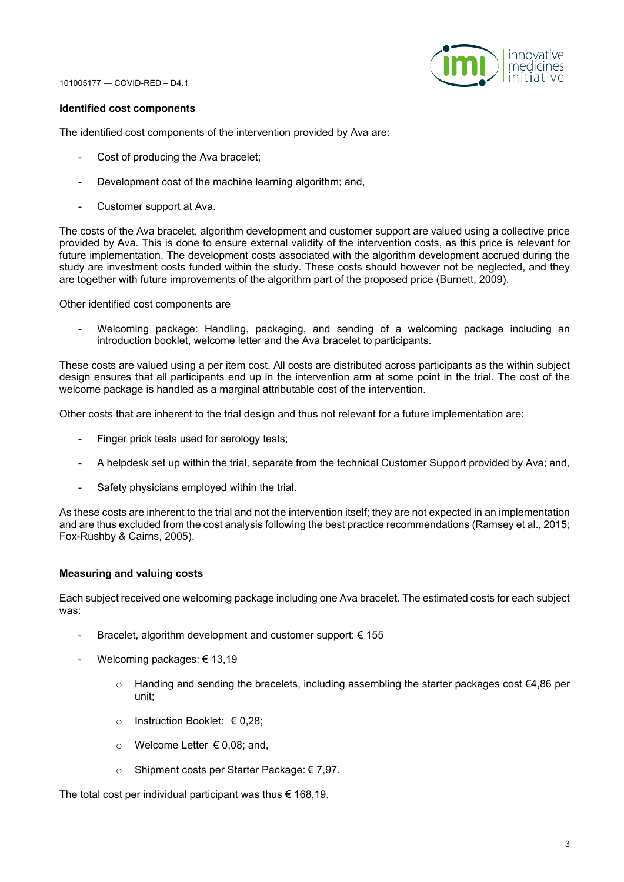

#### **Identified cost components**

The identified cost components of the intervention provided by Ava are:

- Cost of producing the Ava bracelet;
- Development cost of the machine learning algorithm; and,
- Customer support at Ava.

The costs of the Ava bracelet, algorithm development and customer support are valued using a collective price provided by Ava. This is done to ensure external validity of the intervention costs, as this price is relevant for future implementation. The development costs associated with the algorithm development accrued during the study are investment costs funded within the study. These costs should however not be neglected, and they are together with future improvements of the algorithm part of the proposed price (Burnett, 2009).

Other identified cost components are

Welcoming package: Handling, packaging, and sending of a welcoming package including an introduction booklet, welcome letter and the Ava bracelet to participants.

These costs are valued using a per item cost. All costs are distributed across participants as the within subject design ensures that all participants end up in the intervention arm at some point in the trial. The cost of the welcome package is handled as a marginal attributable cost of the intervention.

Other costs that are inherent to the trial design and thus not relevant for a future implementation are:

- Finger prick tests used for serology tests;
- A helpdesk set up within the trial, separate from the technical Customer Support provided by Ava; and,
- Safety physicians employed within the trial.

As these costs are inherent to the trial and not the intervention itself; they are not expected in an implementation and are thus excluded from the cost analysis following the best practice recommendations (Ramsey et al., 2015; Fox-Rushby & Cairns, 2005).

#### **Measuring and valuing costs**

Each subject received one welcoming package including one Ava bracelet. The estimated costs for each subject was:

- Bracelet, algorithm development and customer support:  $\epsilon$  155
- Welcoming packages: € 13.19
	- $\circ$  Handing and sending the bracelets, including assembling the starter packages cost €4,86 per unit;
	- o Instruction Booklet: € 0,28;
	- o Welcome Letter € 0,08; and,
	- o Shipment costs per Starter Package: € 7,97.

The total cost per individual participant was thus  $\epsilon$  168,19.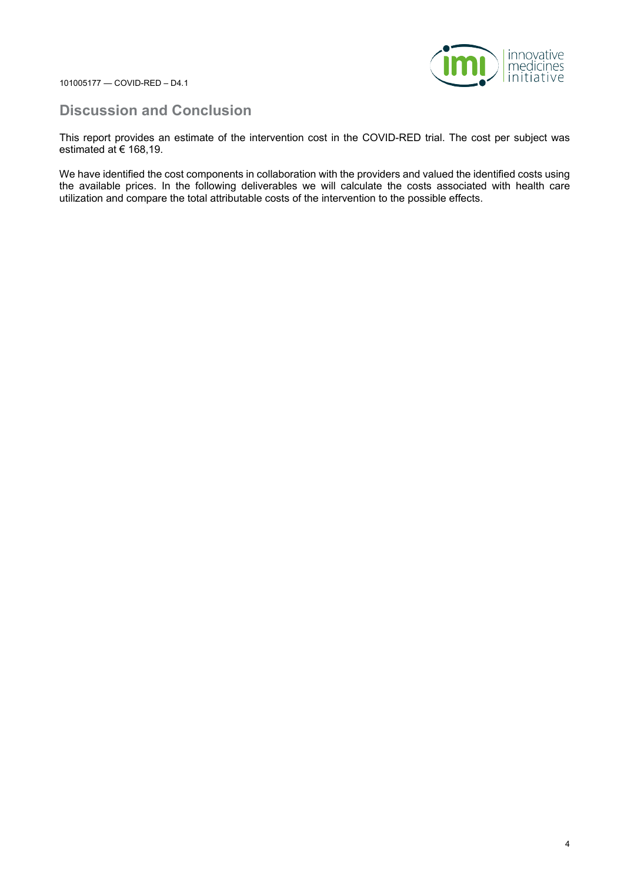

#### **Discussion and Conclusion**

This report provides an estimate of the intervention cost in the COVID-RED trial. The cost per subject was estimated at € 168,19.

We have identified the cost components in collaboration with the providers and valued the identified costs using the available prices. In the following deliverables we will calculate the costs associated with health care utilization and compare the total attributable costs of the intervention to the possible effects.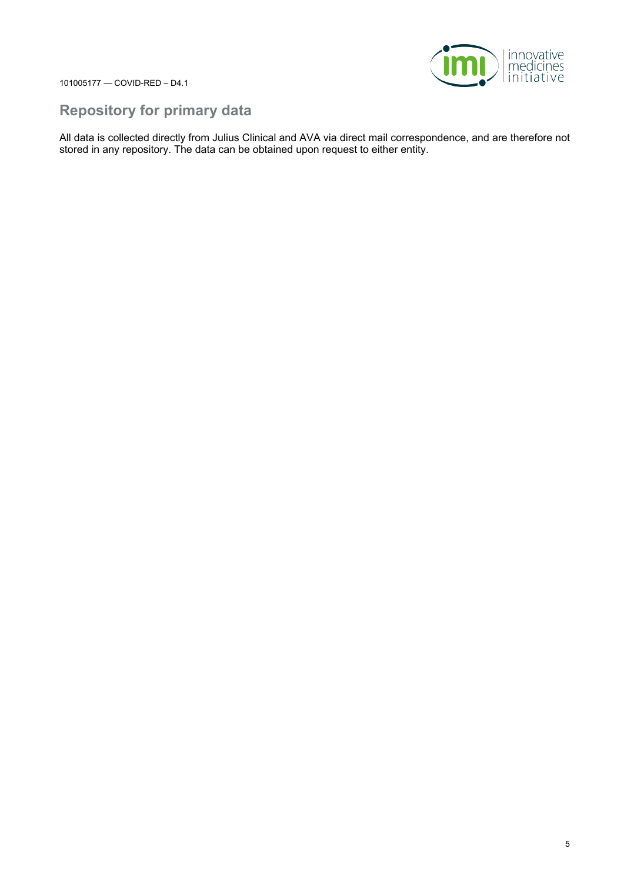

#### **Repository for primary data**

All data is collected directly from Julius Clinical and AVA via direct mail correspondence, and are therefore not stored in any repository. The data can be obtained upon request to either entity.